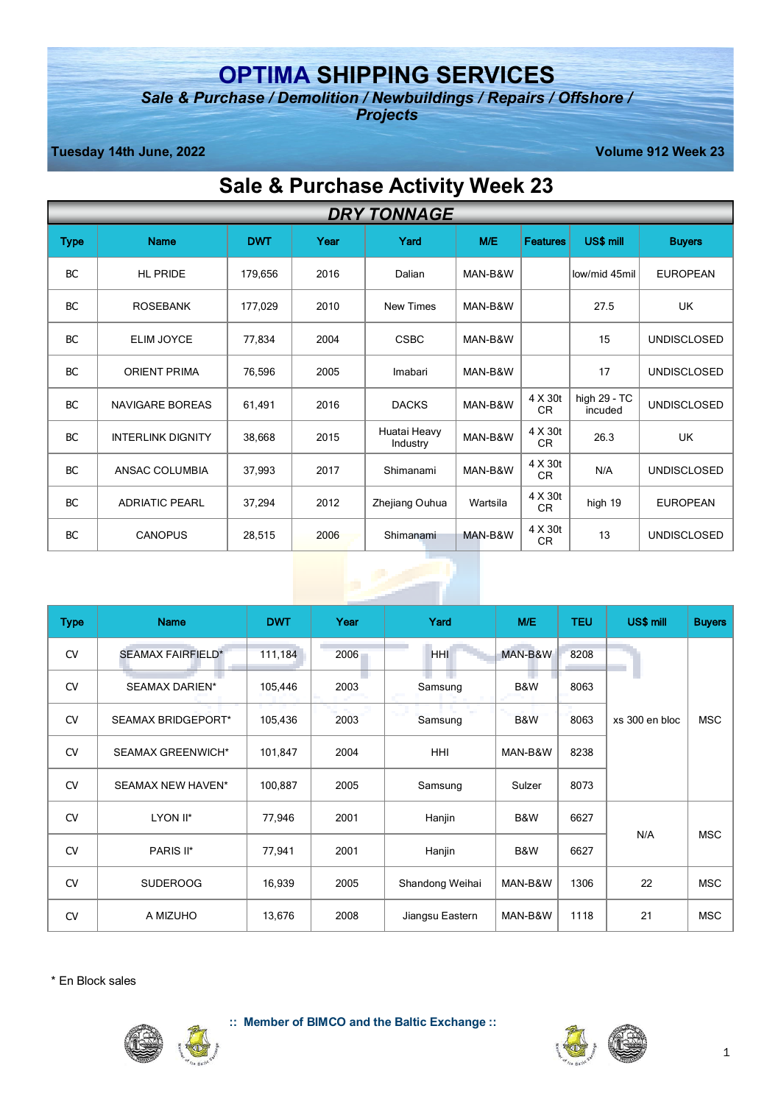## **OPTIMA SHIPPING SERVICES**

*Sale & Purchase / Demolition / Newbuildings / Repairs / Offshore / Projects*

**Tuesday 14th June, 2022 Volume 912 Week 23**

# **Sale & Purchase Activity Week 23**

|           | <b>DRY TONNAGE</b>       |            |      |                          |          |                      |                         |                    |  |
|-----------|--------------------------|------------|------|--------------------------|----------|----------------------|-------------------------|--------------------|--|
| Type      | <b>Name</b>              | <b>DWT</b> | Year | Yard                     | M/E      | <b>Features</b>      | US\$ mill               | <b>Buyers</b>      |  |
| <b>BC</b> | <b>HL PRIDE</b>          | 179,656    | 2016 | Dalian                   | MAN-B&W  |                      | low/mid 45mil           | <b>EUROPEAN</b>    |  |
| <b>BC</b> | <b>ROSEBANK</b>          | 177,029    | 2010 | <b>New Times</b>         | MAN-B&W  |                      | 27.5                    | UK                 |  |
| BC        | ELIM JOYCE               | 77,834     | 2004 | <b>CSBC</b>              | MAN-B&W  |                      | 15                      | <b>UNDISCLOSED</b> |  |
| <b>BC</b> | <b>ORIENT PRIMA</b>      | 76,596     | 2005 | Imabari                  | MAN-B&W  |                      | 17                      | <b>UNDISCLOSED</b> |  |
| BC        | <b>NAVIGARE BOREAS</b>   | 61,491     | 2016 | <b>DACKS</b>             | MAN-B&W  | 4 X 30t<br>CR        | high 29 - TC<br>incuded | <b>UNDISCLOSED</b> |  |
| BC        | <b>INTERLINK DIGNITY</b> | 38,668     | 2015 | Huatai Heavy<br>Industry | MAN-B&W  | 4 X 30t<br>CR        | 26.3                    | UK                 |  |
| BC        | ANSAC COLUMBIA           | 37,993     | 2017 | Shimanami                | MAN-B&W  | 4 X 30t<br><b>CR</b> | N/A                     | <b>UNDISCLOSED</b> |  |
| <b>BC</b> | <b>ADRIATIC PEARL</b>    | 37,294     | 2012 | Zhejiang Ouhua           | Wartsila | 4 X 30t<br>CR        | high 19                 | <b>EUROPEAN</b>    |  |
| BC        | <b>CANOPUS</b>           | 28,515     | 2006 | Shimanami                | MAN-B&W  | 4 X 30t<br>CR        | 13                      | <b>UNDISCLOSED</b> |  |

| <b>Type</b> | <b>Name</b>              | <b>DWT</b> | Year | Yard            | M/E     | <b>TEU</b> | US\$ mill      | <b>Buyers</b> |
|-------------|--------------------------|------------|------|-----------------|---------|------------|----------------|---------------|
| <b>CV</b>   | <b>SEAMAX FAIRFIELD*</b> | 111,184    | 2006 | <b>HHI</b>      | MAN-B&W | 8208       |                |               |
| <b>CV</b>   | <b>SEAMAX DARIEN*</b>    | 105,446    | 2003 | Samsung         | B&W     | 8063       |                |               |
| <b>CV</b>   | SEAMAX BRIDGEPORT*       | 105,436    | 2003 | Samsung         | B&W     | 8063       | xs 300 en bloc | <b>MSC</b>    |
| <b>CV</b>   | <b>SEAMAX GREENWICH*</b> | 101,847    | 2004 | <b>HHI</b>      | MAN-B&W | 8238       |                |               |
| <b>CV</b>   | SEAMAX NEW HAVEN*        | 100,887    | 2005 | Samsung         | Sulzer  | 8073       |                |               |
| <b>CV</b>   | LYON II*                 | 77,946     | 2001 | Hanjin          | B&W     | 6627       |                |               |
| <b>CV</b>   | PARIS II*                | 77,941     | 2001 | Hanjin          | B&W     | 6627       | N/A            | <b>MSC</b>    |
| <b>CV</b>   | <b>SUDEROOG</b>          | 16,939     | 2005 | Shandong Weihai | MAN-B&W | 1306       | 22             | <b>MSC</b>    |
| <b>CV</b>   | A MIZUHO                 | 13,676     | 2008 | Jiangsu Eastern | MAN-B&W | 1118       | 21             | <b>MSC</b>    |

 $\mathbb{L}$ 

\* En Block sales



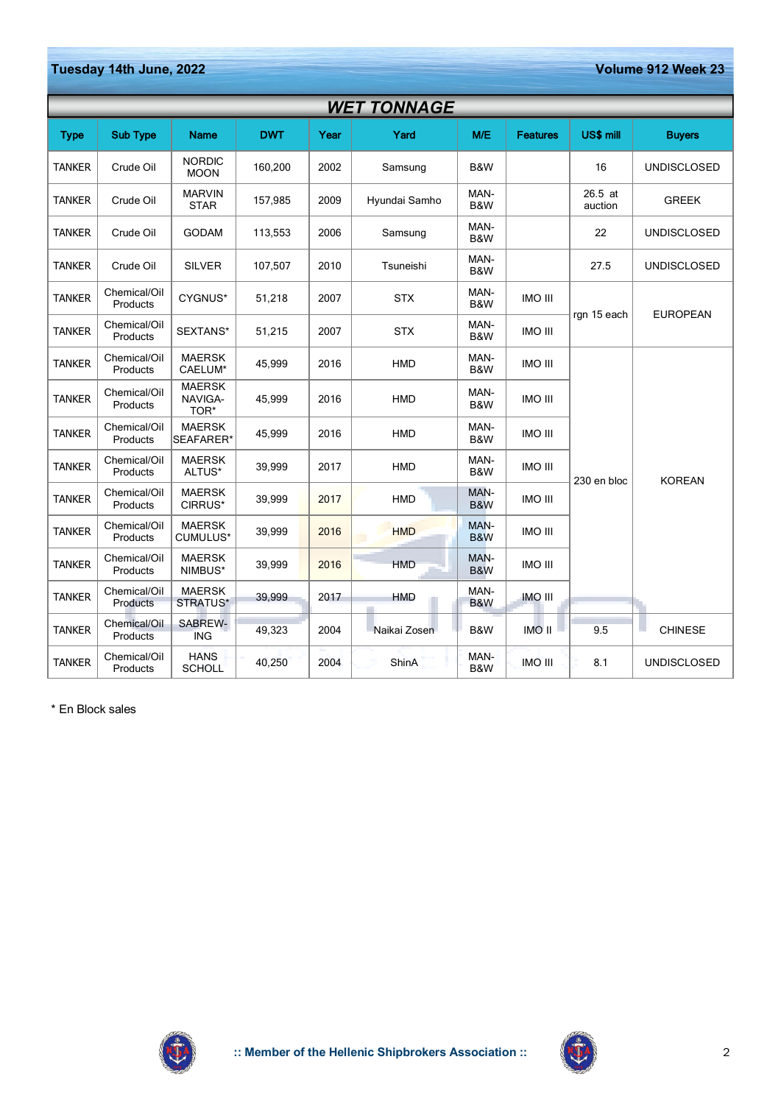**Tuesday 14th June, 2022 Volume 912 Week 23**

|               | <b>WET TONNAGE</b>       |                                  |            |      |               |                        |                 |                    |                    |
|---------------|--------------------------|----------------------------------|------------|------|---------------|------------------------|-----------------|--------------------|--------------------|
| <b>Type</b>   | <b>Sub Type</b>          | <b>Name</b>                      | <b>DWT</b> | Year | Yard          | M/E                    | <b>Features</b> | US\$ mill          | <b>Buvers</b>      |
| <b>TANKER</b> | Crude Oil                | <b>NORDIC</b><br><b>MOON</b>     | 160,200    | 2002 | Samsung       | B&W                    |                 | 16                 | <b>UNDISCLOSED</b> |
| <b>TANKER</b> | Crude Oil                | <b>MARVIN</b><br><b>STAR</b>     | 157,985    | 2009 | Hyundai Samho | MAN-<br>B&W            |                 | 26.5 at<br>auction | <b>GREEK</b>       |
| <b>TANKER</b> | Crude Oil                | <b>GODAM</b>                     | 113,553    | 2006 | Samsung       | MAN-<br>B&W            |                 | 22                 | <b>UNDISCLOSED</b> |
| <b>TANKER</b> | Crude Oil                | <b>SILVER</b>                    | 107,507    | 2010 | Tsuneishi     | MAN-<br>B&W            |                 | 27.5               | <b>UNDISCLOSED</b> |
| <b>TANKER</b> | Chemical/Oil<br>Products | CYGNUS*                          | 51,218     | 2007 | <b>STX</b>    | MAN-<br>B&W            | <b>INO III</b>  | rgn 15 each        |                    |
| <b>TANKER</b> | Chemical/Oil<br>Products | SEXTANS*                         | 51,215     | 2007 | <b>STX</b>    | MAN-<br>B&W            | <b>INO III</b>  |                    | <b>EUROPEAN</b>    |
| <b>TANKER</b> | Chemical/Oil<br>Products | <b>MAERSK</b><br>CAELUM*         | 45,999     | 2016 | <b>HMD</b>    | MAN-<br>B&W            | <b>INO III</b>  |                    |                    |
| <b>TANKER</b> | Chemical/Oil<br>Products | <b>MAERSK</b><br>NAVIGA-<br>TOR* | 45,999     | 2016 | HMD           | MAN-<br>B&W            | <b>IMO III</b>  |                    |                    |
| <b>TANKER</b> | Chemical/Oil<br>Products | <b>MAERSK</b><br>SEAFARER*       | 45,999     | 2016 | HMD           | MAN-<br>B&W            | <b>IMO III</b>  |                    |                    |
| <b>TANKER</b> | Chemical/Oil<br>Products | <b>MAERSK</b><br>ALTUS*          | 39,999     | 2017 | HMD           | MAN-<br>B&W            | <b>IMO III</b>  | 230 en bloc        | <b>KOREAN</b>      |
| <b>TANKER</b> | Chemical/Oil<br>Products | <b>MAERSK</b><br>CIRRUS*         | 39,999     | 2017 | <b>HMD</b>    | MAN-<br>B&W            | <b>IMO III</b>  |                    |                    |
| <b>TANKER</b> | Chemical/Oil<br>Products | <b>MAERSK</b><br>CUMULUS*        | 39,999     | 2016 | <b>HMD</b>    | MAN-<br>B&W            | <b>IMO III</b>  |                    |                    |
| <b>TANKER</b> | Chemical/Oil<br>Products | <b>MAERSK</b><br>NIMBUS*         | 39,999     | 2016 | <b>HMD</b>    | MAN-<br>B&W            | <b>INO III</b>  |                    |                    |
| <b>TANKER</b> | Chemical/Oil<br>Products | <b>MAERSK</b><br>STRATUS*        | 39,999     | 2017 | <b>HMD</b>    | MAN-<br><b>B&amp;W</b> | <b>IMO III</b>  |                    |                    |
| <b>TANKER</b> | Chemical/Oil<br>Products | SABREW-<br><b>ING</b>            | 49,323     | 2004 | Naikai Zosen  | B&W                    | IMO II          | 9.5                | <b>CHINESE</b>     |
| <b>TANKER</b> | Chemical/Oil<br>Products | <b>HANS</b><br><b>SCHOLL</b>     | 40,250     | 2004 | ShinA         | MAN-<br>B&W            | <b>IMO III</b>  | 8.1                | <b>UNDISCLOSED</b> |

\* En Block sales



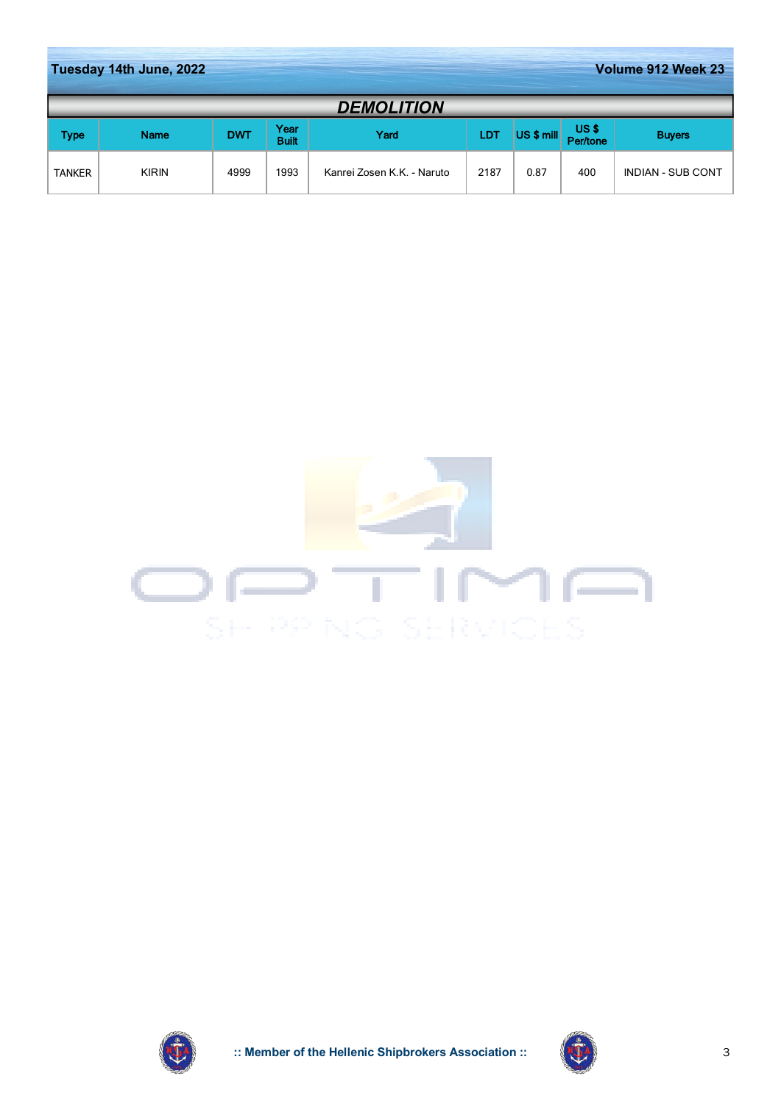|               | Tuesday 14th June, 2022<br>Volume 912 Week 23 |            |                      |                            |      |            |                  |                          |  |
|---------------|-----------------------------------------------|------------|----------------------|----------------------------|------|------------|------------------|--------------------------|--|
|               |                                               |            |                      | <b>DEMOLITION</b>          |      |            |                  |                          |  |
| Type          | <b>Name</b>                                   | <b>DWT</b> | Year<br><b>Built</b> | Yard                       | LDT  | US \$ mill | US\$<br>Per/tone | <b>Buyers</b>            |  |
| <b>TANKER</b> | <b>KIRIN</b>                                  | 4999       | 1993                 | Kanrei Zosen K.K. - Naruto | 2187 | 0.87       | 400              | <b>INDIAN - SUB CONT</b> |  |





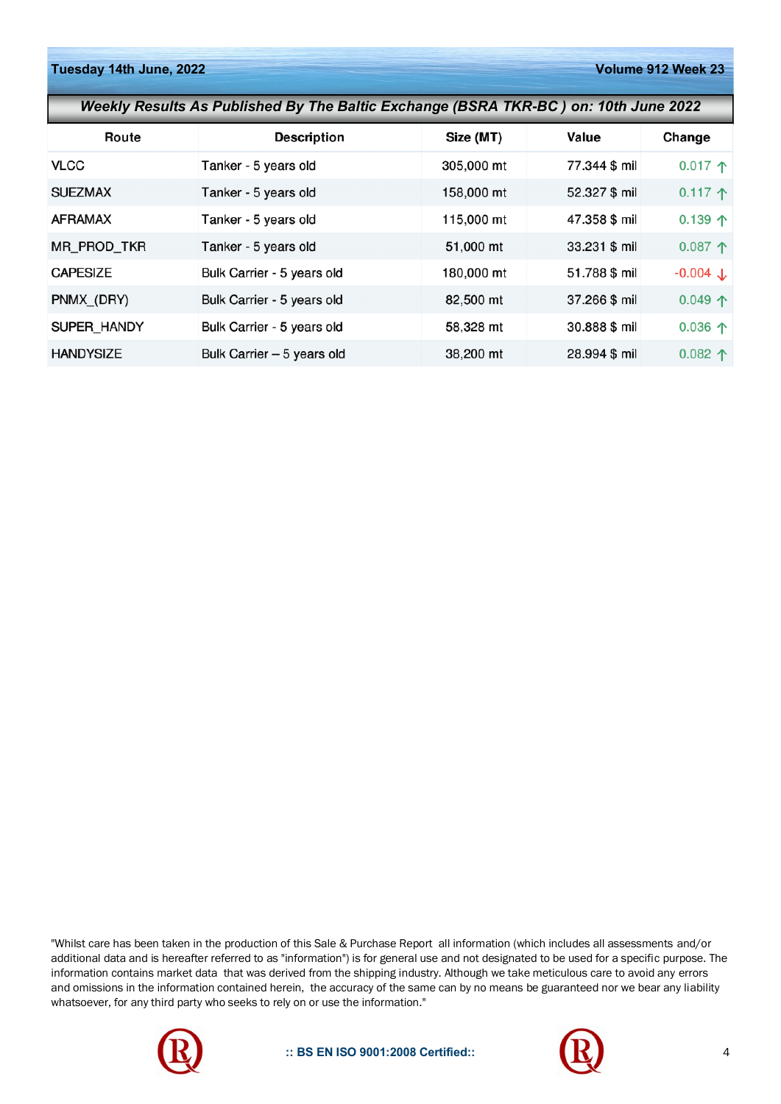| Weekly Results As Published By The Baltic Exchange (BSRA TKR-BC) on: 10th June 2022 |                            |            |               |                       |  |  |  |  |
|-------------------------------------------------------------------------------------|----------------------------|------------|---------------|-----------------------|--|--|--|--|
| Route                                                                               | <b>Description</b>         | Size (MT)  | Value         | Change                |  |  |  |  |
| <b>VLCC</b>                                                                         | Tanker - 5 years old       | 305,000 mt | 77.344 \$ mil | 0.017 $\uparrow$      |  |  |  |  |
| <b>SUEZMAX</b>                                                                      | Tanker - 5 years old       | 158,000 mt | 52.327 \$ mil | 0.117 $\uparrow$      |  |  |  |  |
| <b>AFRAMAX</b>                                                                      | Tanker - 5 years old       | 115,000 mt | 47.358 \$ mil | 0.139 $\uparrow$      |  |  |  |  |
| MR_PROD_TKR                                                                         | Tanker - 5 years old       | 51,000 mt  | 33.231 \$ mil | 0.087 $\uparrow$      |  |  |  |  |
| <b>CAPESIZE</b>                                                                     | Bulk Carrier - 5 years old | 180,000 mt | 51.788 \$ mil | $-0.004$ $\downarrow$ |  |  |  |  |
| PNMX_(DRY)                                                                          | Bulk Carrier - 5 years old | 82,500 mt  | 37.266 \$ mil | 0.049 个               |  |  |  |  |
| SUPER HANDY                                                                         | Bulk Carrier - 5 years old | 58,328 mt  | 30.888 \$ mil | 0.036 $\uparrow$      |  |  |  |  |
| <b>HANDYSIZE</b>                                                                    | Bulk Carrier - 5 years old | 38,200 mt  | 28.994 \$ mil | 0.082 个               |  |  |  |  |

"Whilst care has been taken in the production of this Sale & Purchase Report all information (which includes all assessments and/or additional data and is hereafter referred to as "information") is for general use and not designated to be used for a specific purpose. The information contains market data that was derived from the shipping industry. Although we take meticulous care to avoid any errors and omissions in the information contained herein, the accuracy of the same can by no means be guaranteed nor we bear any liability whatsoever, for any third party who seeks to rely on or use the information."